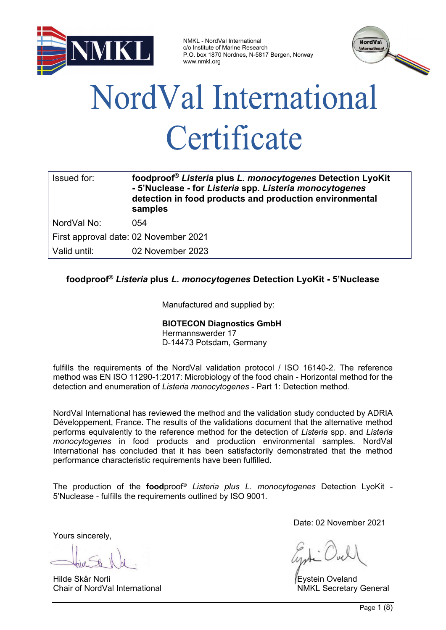

NMKL - NordVal International c/o Institute of Marine Research P.O. box 1870 Nordnes, N-5817 Bergen, Norway www.nmkl.org



# NordVal International Certificate

| Issued for:                           | foodproof® Listeria plus L. monocytogenes Detection LyoKit<br>- 5'Nuclease - for Listeria spp. Listeria monocytogenes<br>detection in food products and production environmental<br>samples |  |  |  |  |  |
|---------------------------------------|---------------------------------------------------------------------------------------------------------------------------------------------------------------------------------------------|--|--|--|--|--|
| NordVal No:                           | 054                                                                                                                                                                                         |  |  |  |  |  |
| First approval date: 02 November 2021 |                                                                                                                                                                                             |  |  |  |  |  |
| Valid until:                          | 02 November 2023                                                                                                                                                                            |  |  |  |  |  |

## **foodproof®** *Listeria* **plus** *L. monocytogenes* **Detection LyoKit - 5'Nuclease**

## Manufactured and supplied by:

## **BIOTECON Diagnostics GmbH**

Hermannswerder 17 D-14473 Potsdam, Germany

fulfills the requirements of the NordVal validation protocol / ISO 16140-2. The reference method was EN ISO 11290-1:2017: Microbiology of the food chain - Horizontal method for the detection and enumeration of *Listeria monocytogenes* - Part 1: Detection method.

NordVal International has reviewed the method and the validation study conducted by ADRIA Développement, France. The results of the validations document that the alternative method performs equivalently to the reference method for the detection of *Listeria* spp. and *Listeria monocytogenes* in food products and production environmental samples*.* NordVal International has concluded that it has been satisfactorily demonstrated that the method performance characteristic requirements have been fulfilled.

The production of the **food**proof® *Listeria plus L. monocytogenes* Detection LyoKit - 5'Nuclease - fulfills the requirements outlined by ISO 9001.

Yours sincerely,

Hilde Skår Norli **Eystein Oveland**<br>Chair of NordVal International **Example 2018** NMKI Secretary

Date: 02 November 2021

**NMKL Secretary General**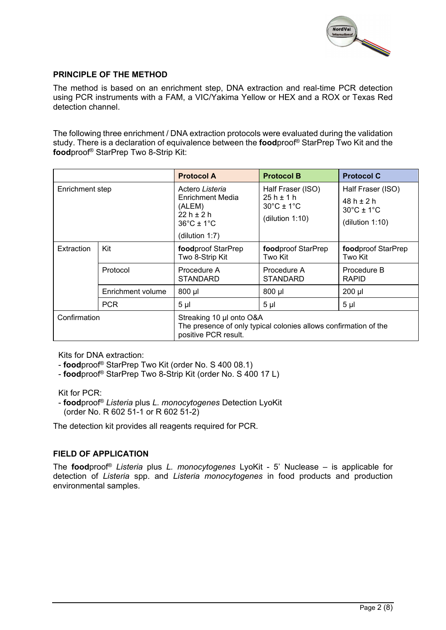

## **PRINCIPLE OF THE METHOD**

The method is based on an enrichment step, DNA extraction and real-time PCR detection using PCR instruments with a FAM, a VIC/Yakima Yellow or HEX and a ROX or Texas Red detection channel.

The following three enrichment / DNA extraction protocols were evaluated during the validation study. There is a declaration of equivalence between the **food**proof® StarPrep Two Kit and the **food**proof® StarPrep Two 8-Strip Kit:

|                 |                   | <b>Protocol A</b>                                                                                                    | <b>Protocol B</b>                                                                       | <b>Protocol C</b>                                                                        |  |  |  |
|-----------------|-------------------|----------------------------------------------------------------------------------------------------------------------|-----------------------------------------------------------------------------------------|------------------------------------------------------------------------------------------|--|--|--|
| Enrichment step |                   | Actero Listeria<br>Enrichment Media<br>(ALEM)<br>$22h + 2h$<br>$36^{\circ}$ C ± 1 $^{\circ}$ C<br>(dilution $1:7$ )  | Half Fraser (ISO)<br>$25h \pm 1h$<br>$30^{\circ}$ C ± 1 $^{\circ}$ C<br>(dilution 1:10) | Half Fraser (ISO)<br>$48h + 2h$<br>$30^{\circ}$ C ± 1 $^{\circ}$ C<br>(dilution $1:10$ ) |  |  |  |
| Extraction      | Kit               | foodproof StarPrep<br>Two 8-Strip Kit                                                                                | foodproof StarPrep<br>Two Kit                                                           | foodproof StarPrep<br>Two Kit                                                            |  |  |  |
|                 | Protocol          | Procedure A<br><b>STANDARD</b>                                                                                       | Procedure A<br><b>STANDARD</b>                                                          | Procedure B<br><b>RAPID</b>                                                              |  |  |  |
|                 | Enrichment volume | $800$ µl                                                                                                             | 800 µl                                                                                  | $200$ µl                                                                                 |  |  |  |
|                 | <b>PCR</b>        | 5 <sub>µ</sub>                                                                                                       | 5 <sub>µ</sub>                                                                          | 5 <sub>µ</sub>                                                                           |  |  |  |
| Confirmation    |                   | Streaking 10 µl onto O&A<br>The presence of only typical colonies allows confirmation of the<br>positive PCR result. |                                                                                         |                                                                                          |  |  |  |

Kits for DNA extraction:

- **food**proof® StarPrep Two Kit (order No. S 400 08.1)
- **food**proof® StarPrep Two 8-Strip Kit (order No. S 400 17 L)

Kit for PCR:

- **food**proof® *Listeria* plus *L. monocytogenes* Detection LyoKit (order No. R 602 51-1 or R 602 51-2)

The detection kit provides all reagents required for PCR.

#### **FIELD OF APPLICATION**

The **food**proof® *Listeria* plus *L. monocytogenes* LyoKit - 5' Nuclease – is applicable for detection of *Listeria* spp. and *Listeria monocytogenes* in food products and production environmental samples.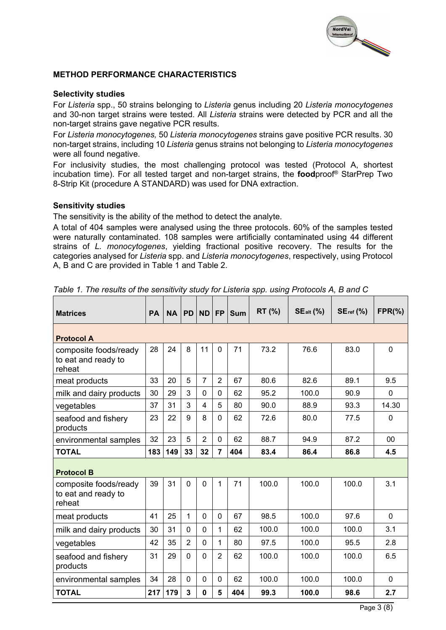

#### **METHOD PERFORMANCE CHARACTERISTICS**

#### **Selectivity studies**

For *Listeria* spp., 50 strains belonging to *Listeria* genus including 20 *Listeria monocytogenes* and 30-non target strains were tested. All *Listeria* strains were detected by PCR and all the non-target strains gave negative PCR results.

For *Listeria monocytogenes,* 50 *Listeria monocytogenes* strains gave positive PCR results. 30 non-target strains, including 10 *Listeria* genus strains not belonging to *Listeria monocytogenes* were all found negative.

For inclusivity studies, the most challenging protocol was tested (Protocol A, shortest incubation time). For all tested target and non-target strains, the **food**proof® StarPrep Two 8-Strip Kit (procedure A STANDARD) was used for DNA extraction.

#### **Sensitivity studies**

The sensitivity is the ability of the method to detect the analyte.

A total of 404 samples were analysed using the three protocols. 60% of the samples tested were naturally contaminated. 108 samples were artificially contaminated using 44 different strains of *L. monocytogenes*, yielding fractional positive recovery. The results for the categories analysed for *Listeria* spp. and *Listeria monocytogenes*, respectively, using Protocol A, B and C are provided in Table 1 and Table 2.

| <b>Matrices</b>                                        | <b>PA</b> | <b>NA</b> | <b>PD</b>      | <b>ND</b>      | <b>FP</b>      | <b>Sum</b> | RT (%) | $SE_{alt}$ (%) | $SEref$ (%) | $FPR(\% )$     |  |
|--------------------------------------------------------|-----------|-----------|----------------|----------------|----------------|------------|--------|----------------|-------------|----------------|--|
| <b>Protocol A</b>                                      |           |           |                |                |                |            |        |                |             |                |  |
| composite foods/ready<br>to eat and ready to<br>reheat | 28        | 24        | 8              | 11             | $\mathbf 0$    | 71         | 73.2   | 76.6           | 83.0        | $\overline{0}$ |  |
| meat products                                          | 33        | 20        | 5              | $\overline{7}$ | $\overline{2}$ | 67         | 80.6   | 82.6           | 89.1        | 9.5            |  |
| milk and dairy products                                | 30        | 29        | 3              | $\Omega$       | $\Omega$       | 62         | 95.2   | 100.0          | 90.9        | $\mathbf 0$    |  |
| vegetables                                             | 37        | 31        | 3              | $\overline{4}$ | 5              | 80         | 90.0   | 88.9           | 93.3        | 14.30          |  |
| seafood and fishery<br>products                        | 23        | 22        | 9              | 8              | $\Omega$       | 62         | 72.6   | 80.0           | 77.5        | $\Omega$       |  |
| environmental samples                                  | 32        | 23        | 5              | $\overline{2}$ | 0              | 62         | 88.7   | 94.9           | 87.2        | 00             |  |
| <b>TOTAL</b>                                           | 183       | 149       | 33             | 32             | $\overline{7}$ | 404        | 83.4   | 86.4           | 86.8        | 4.5            |  |
| <b>Protocol B</b>                                      |           |           |                |                |                |            |        |                |             |                |  |
| composite foods/ready<br>to eat and ready to<br>reheat | 39        | 31        | $\Omega$       | 0              | 1              | 71         | 100.0  | 100.0          | 100.0       | 3.1            |  |
| meat products                                          | 41        | 25        | 1              | $\Omega$       | $\Omega$       | 67         | 98.5   | 100.0          | 97.6        | $\overline{0}$ |  |
| milk and dairy products                                | 30        | 31        | $\Omega$       | $\Omega$       | 1              | 62         | 100.0  | 100.0          | 100.0       | 3.1            |  |
| vegetables                                             | 42        | 35        | $\overline{2}$ | 0              | 1              | 80         | 97.5   | 100.0          | 95.5        | 2.8            |  |
| seafood and fishery<br>products                        | 31        | 29        | $\Omega$       | $\Omega$       | $\overline{2}$ | 62         | 100.0  | 100.0          | 100.0       | 6.5            |  |
| environmental samples                                  | 34        | 28        | $\Omega$       | 0              | $\Omega$       | 62         | 100.0  | 100.0          | 100.0       | 0              |  |
| <b>TOTAL</b>                                           | 217       | 179       | 3              | 0              | 5              | 404        | 99.3   | 100.0          | 98.6        | 2.7            |  |

*Table 1. The results of the sensitivity study for Listeria spp. using Protocols A, B and C*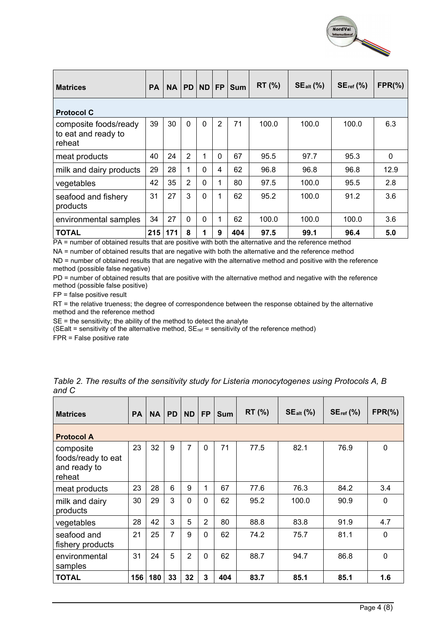

| <b>Matrices</b>                                        | <b>PA</b> | <b>NA</b> | <b>PD</b>      | <b>ND</b> | <b>FP</b>      | <b>Sum</b> | $RT$ (%) | $SE_{alt}$ (%) | $SE_{ref}$ (%) | $FPR(\% )$   |
|--------------------------------------------------------|-----------|-----------|----------------|-----------|----------------|------------|----------|----------------|----------------|--------------|
| <b>Protocol C</b>                                      |           |           |                |           |                |            |          |                |                |              |
| composite foods/ready<br>to eat and ready to<br>reheat | 39        | 30        | $\mathbf 0$    | $\Omega$  | $\overline{2}$ | 71         | 100.0    | 100.0          | 100.0          | 6.3          |
| meat products                                          | 40        | 24        | $\overline{2}$ |           | 0              | 67         | 95.5     | 97.7           | 95.3           | $\mathbf{0}$ |
| milk and dairy products                                | 29        | 28        | 1              | $\Omega$  | 4              | 62         | 96.8     | 96.8           | 96.8           | 12.9         |
| vegetables                                             | 42        | 35        | $\overline{2}$ | $\Omega$  | 1              | 80         | 97.5     | 100.0          | 95.5           | 2.8          |
| seafood and fishery<br>products                        | 31        | 27        | 3              | $\Omega$  |                | 62         | 95.2     | 100.0          | 91.2           | 3.6          |
| environmental samples                                  | 34        | 27        | $\Omega$       | $\Omega$  | 1              | 62         | 100.0    | 100.0          | 100.0          | 3.6          |
| <b>TOTAL</b>                                           | 215       | 171       | 8              |           | 9              | 404        | 97.5     | 99.1           | 96.4           | 5.0          |

PA = number of obtained results that are positive with both the alternative and the reference method

NA = number of obtained results that are negative with both the alternative and the reference method

ND = number of obtained results that are negative with the alternative method and positive with the reference method (possible false negative)

PD = number of obtained results that are positive with the alternative method and negative with the reference method (possible false positive)

FP = false positive result

RT = the relative trueness; the degree of correspondence between the response obtained by the alternative method and the reference method

SE = the sensitivity; the ability of the method to detect the analyte

(SEalt = sensitivity of the alternative method,  $SE_{ref}$  = sensitivity of the reference method)

FPR = False positive rate

| <b>Matrices</b>                                           | <b>PA</b> | <b>NA</b> | PD. | <b>ND</b>      | <b>FP</b>      | <b>Sum</b> | RT (%) | $SE_{alt}$ (%) | $SEref$ (%) | $FPR(\% )$   |  |
|-----------------------------------------------------------|-----------|-----------|-----|----------------|----------------|------------|--------|----------------|-------------|--------------|--|
| <b>Protocol A</b>                                         |           |           |     |                |                |            |        |                |             |              |  |
| composite<br>foods/ready to eat<br>and ready to<br>reheat | 23        | 32        | 9   | $\overline{7}$ | $\mathbf 0$    | 71         | 77.5   | 82.1           | 76.9        | $\mathbf 0$  |  |
| meat products                                             | 23        | 28        | 6   | 9              | 1              | 67         | 77.6   | 76.3           | 84.2        | 3.4          |  |
| milk and dairy<br>products                                | 30        | 29        | 3   | $\Omega$       | $\mathbf{0}$   | 62         | 95.2   | 100.0          | 90.9        | $\mathbf{0}$ |  |
| vegetables                                                | 28        | 42        | 3   | 5              | $\overline{2}$ | 80         | 88.8   | 83.8           | 91.9        | 4.7          |  |
| seafood and<br>fishery products                           | 21        | 25        | 7   | 9              | $\Omega$       | 62         | 74.2   | 75.7           | 81.1        | $\Omega$     |  |
| environmental<br>samples                                  | 31        | 24        | 5   | 2              | $\Omega$       | 62         | 88.7   | 94.7           | 86.8        | $\mathbf 0$  |  |
| <b>TOTAL</b>                                              | 156       | 180       | 33  | 32             | 3              | 404        | 83.7   | 85.1           | 85.1        | 1.6          |  |

*Table 2. The results of the sensitivity study for Listeria monocytogenes using Protocols A, B and C*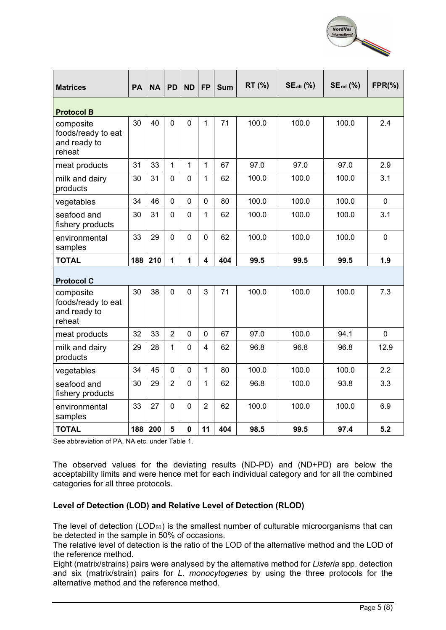

| <b>Matrices</b>                                           | PA  | <b>NA</b> | <b>PD</b>      | <b>ND</b>      | <b>FP</b>               | <b>Sum</b> | RT (%) | $SE_{alt}$ (%) | $SE_{ref}$ (%) | $FPR(\% )$  |  |  |
|-----------------------------------------------------------|-----|-----------|----------------|----------------|-------------------------|------------|--------|----------------|----------------|-------------|--|--|
| <b>Protocol B</b>                                         |     |           |                |                |                         |            |        |                |                |             |  |  |
| composite<br>foods/ready to eat<br>and ready to<br>reheat | 30  | 40        | 0              | $\overline{0}$ | $\mathbf{1}$            | 71         | 100.0  | 100.0          | 100.0          | 2.4         |  |  |
| meat products                                             | 31  | 33        | 1              | 1              | 1                       | 67         | 97.0   | 97.0           | 97.0           | 2.9         |  |  |
| milk and dairy<br>products                                | 30  | 31        | 0              | $\mathbf 0$    | 1                       | 62         | 100.0  | 100.0          | 100.0          | 3.1         |  |  |
| vegetables                                                | 34  | 46        | $\overline{0}$ | $\mathbf 0$    | $\overline{0}$          | 80         | 100.0  | 100.0          | 100.0          | $\mathbf 0$ |  |  |
| seafood and<br>fishery products                           | 30  | 31        | 0              | $\mathbf 0$    | 1                       | 62         | 100.0  | 100.0          | 100.0          | 3.1         |  |  |
| environmental<br>samples                                  | 33  | 29        | 0              | $\mathbf 0$    | $\mathbf 0$             | 62         | 100.0  | 100.0          | 100.0          | $\mathbf 0$ |  |  |
| <b>TOTAL</b>                                              | 188 | 210       | 1              | 1              | $\overline{\mathbf{4}}$ | 404        | 99.5   | 99.5           | 99.5           | 1.9         |  |  |
| <b>Protocol C</b>                                         |     |           |                |                |                         |            |        |                |                |             |  |  |
| composite<br>foods/ready to eat<br>and ready to<br>reheat | 30  | 38        | 0              | $\mathbf 0$    | 3                       | 71         | 100.0  | 100.0          | 100.0          | 7.3         |  |  |
| meat products                                             | 32  | 33        | $\overline{2}$ | $\mathbf 0$    | 0                       | 67         | 97.0   | 100.0          | 94.1           | $\Omega$    |  |  |
| milk and dairy<br>products                                | 29  | 28        | 1              | $\overline{0}$ | 4                       | 62         | 96.8   | 96.8           | 96.8           | 12.9        |  |  |
| vegetables                                                | 34  | 45        | 0              | $\overline{0}$ | $\mathbf{1}$            | 80         | 100.0  | 100.0          | 100.0          | 2.2         |  |  |
| seafood and<br>fishery products                           | 30  | 29        | $\overline{2}$ | $\Omega$       | $\mathbf{1}$            | 62         | 96.8   | 100.0          | 93.8           | 3.3         |  |  |
| environmental<br>samples                                  | 33  | 27        | 0              | $\overline{0}$ | $\overline{2}$          | 62         | 100.0  | 100.0          | 100.0          | 6.9         |  |  |
| <b>TOTAL</b>                                              | 188 | 200       | 5              | $\mathbf 0$    | 11                      | 404        | 98.5   | 99.5           | 97.4           | 5.2         |  |  |

See abbreviation of PA, NA etc. under Table 1.

The observed values for the deviating results (ND-PD) and (ND+PD) are below the acceptability limits and were hence met for each individual category and for all the combined categories for all three protocols.

## **Level of Detection (LOD) and Relative Level of Detection (RLOD)**

The level of detection  $(LOD_{50})$  is the smallest number of culturable microorganisms that can be detected in the sample in 50% of occasions.

The relative level of detection is the ratio of the LOD of the alternative method and the LOD of the reference method.

Eight (matrix/strains) pairs were analysed by the alternative method for *Listeria* spp. detection and six (matrix/strain) pairs for *L. monocytogenes* by using the three protocols for the alternative method and the reference method.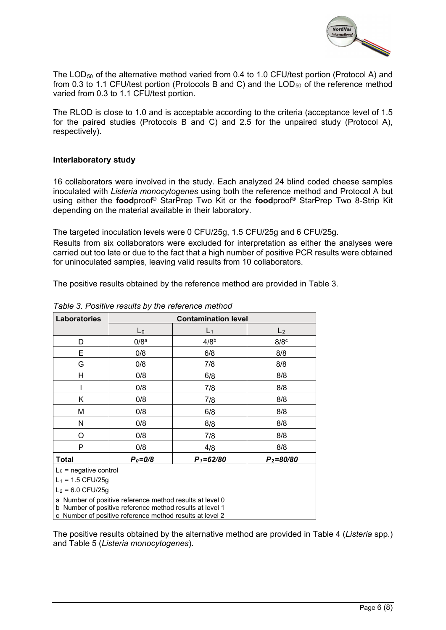

The LOD<sub>50</sub> of the alternative method varied from 0.4 to 1.0 CFU/test portion (Protocol A) and from 0.3 to 1.1 CFU/test portion (Protocols B and C) and the  $\text{LOD}_{50}$  of the reference method varied from 0.3 to 1.1 CFU/test portion.

The RLOD is close to 1.0 and is acceptable according to the criteria (acceptance level of 1.5 for the paired studies (Protocols B and C) and 2.5 for the unpaired study (Protocol A), respectively).

#### **Interlaboratory study**

16 collaborators were involved in the study. Each analyzed 24 blind coded cheese samples inoculated with *Listeria monocytogenes* using both the reference method and Protocol A but using either the **food**proof® StarPrep Two Kit or the **food**proof® StarPrep Two 8-Strip Kit depending on the material available in their laboratory.

The targeted inoculation levels were 0 CFU/25g, 1.5 CFU/25g and 6 CFU/25g.

Results from six collaborators were excluded for interpretation as either the analyses were carried out too late or due to the fact that a high number of positive PCR results were obtained for uninoculated samples, leaving valid results from 10 collaborators.

The positive results obtained by the reference method are provided in Table 3.

| <b>Laboratories</b>      |                                                          | <b>Contamination level</b> |                |  |  |  |  |  |  |  |
|--------------------------|----------------------------------------------------------|----------------------------|----------------|--|--|--|--|--|--|--|
|                          | $\mathsf{L}_0$                                           | L <sub>1</sub>             | L <sub>2</sub> |  |  |  |  |  |  |  |
| D                        | 0/8 <sup>a</sup>                                         | 4/8 <sup>b</sup>           | $8/8^\circ$    |  |  |  |  |  |  |  |
| E                        | 0/8                                                      | 6/8                        | 8/8            |  |  |  |  |  |  |  |
| G                        | 0/8                                                      | 7/8                        | 8/8            |  |  |  |  |  |  |  |
| Н                        | 0/8                                                      | 6/8                        | 8/8            |  |  |  |  |  |  |  |
|                          | 0/8                                                      | 7/8                        | 8/8            |  |  |  |  |  |  |  |
| Κ                        | 0/8                                                      | 7/8                        | 8/8            |  |  |  |  |  |  |  |
| М                        | 0/8                                                      | 6/8                        | 8/8            |  |  |  |  |  |  |  |
| N                        | 0/8                                                      | 8/8                        | 8/8            |  |  |  |  |  |  |  |
| O                        | 0/8                                                      | 7/8                        | 8/8            |  |  |  |  |  |  |  |
| P                        | 0/8                                                      | 4/8                        | 8/8            |  |  |  |  |  |  |  |
| Total                    | $P_0 = 0/8$                                              | $P_1 = 62/80$              | $P_2 = 80/80$  |  |  |  |  |  |  |  |
| $L_0$ = negative control |                                                          |                            |                |  |  |  |  |  |  |  |
|                          | $L_1$ = 1.5 CFU/25g                                      |                            |                |  |  |  |  |  |  |  |
|                          | $L_2$ = 6.0 CFU/25g                                      |                            |                |  |  |  |  |  |  |  |
|                          | a Number of positive reference method results at level 0 |                            |                |  |  |  |  |  |  |  |
|                          | b Number of positive reference method results at level 1 |                            |                |  |  |  |  |  |  |  |
|                          | c Number of positive reference method results at level 2 |                            |                |  |  |  |  |  |  |  |

*Table 3. Positive results by the reference method*

The positive results obtained by the alternative method are provided in Table 4 (*Listeria* spp.) and Table 5 (*Listeria monocytogenes*).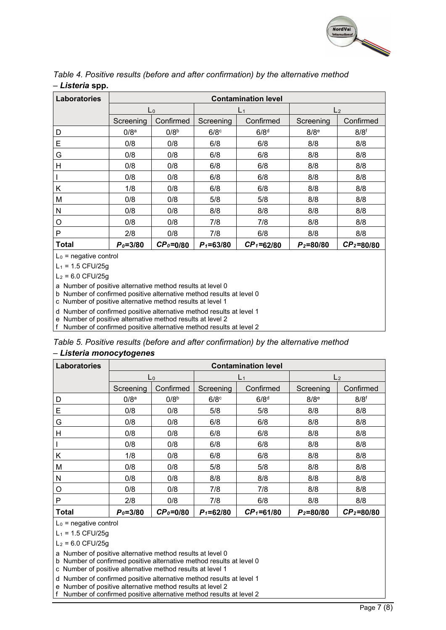

| Laboratories |                  |                  |               | <b>Contamination level</b> |                    |                  |  |
|--------------|------------------|------------------|---------------|----------------------------|--------------------|------------------|--|
|              |                  | $\mathsf{L}_0$   |               | L <sub>1</sub>             | L <sub>2</sub>     |                  |  |
|              | Screening        | Confirmed        | Screening     | Confirmed                  | Screening          | Confirmed        |  |
| D            | 0/8 <sup>a</sup> | 0/8 <sup>b</sup> | $6/8^\circ$   | 6/8 <sup>d</sup>           | $8/8$ <sup>e</sup> | 8/8 <sup>f</sup> |  |
| Е            | 0/8              | 0/8              | 6/8           | 6/8                        | 8/8                | 8/8              |  |
| G            | 0/8              | 0/8              | 6/8           | 6/8                        | 8/8                | 8/8              |  |
| н            | 0/8              | 0/8              | 6/8           | 6/8                        | 8/8                | 8/8              |  |
|              | 0/8              | 0/8              | 6/8           | 6/8                        | 8/8                | 8/8              |  |
| Κ            | 1/8              | 0/8              | 6/8           | 6/8                        | 8/8                | 8/8              |  |
| M            | 0/8              | 0/8              | 5/8           | 5/8                        | 8/8                | 8/8              |  |
| N            | 0/8              | 0/8              | 8/8           | 8/8                        | 8/8                | 8/8              |  |
| O            | 0/8              | 0/8              | 7/8           | 7/8                        | 8/8                | 8/8              |  |
| P            | 2/8              | 0/8              | 7/8           | 6/8                        | 8/8                | 8/8              |  |
| <b>Total</b> | $P_0 = 3/80$     | $CP0=0/80$       | $P_1 = 63/80$ | $CP_1 = 62/80$             | $P_2 = 80/80$      | $CP2=80/80$      |  |

*Table 4. Positive results (before and after confirmation) by the alternative method – Listeria* **spp.**

 $L_0$  = negative control

 $L_1$  = 1.5 CFU/25g

 $L_2$  = 6.0 CFU/25g

a Number of positive alternative method results at level 0

b Number of confirmed positive alternative method results at level 0

c Number of positive alternative method results at level 1

d Number of confirmed positive alternative method results at level 1

e Number of positive alternative method results at level 2

f Number of confirmed positive alternative method results at level 2

| Table 5. Positive results (before and after confirmation) by the alternative method |  |  |  |
|-------------------------------------------------------------------------------------|--|--|--|
| – Listeria monocytogenes                                                            |  |  |  |

| Laboratories |                  |                  |                    | <b>Contamination level</b> |                    |                    |  |
|--------------|------------------|------------------|--------------------|----------------------------|--------------------|--------------------|--|
|              |                  | $\mathsf{L}_0$   |                    | L <sub>1</sub>             | L <sub>2</sub>     |                    |  |
|              | Screening        | Confirmed        | Screening          | Confirmed                  | Screening          | Confirmed          |  |
| D            | 0/8 <sup>a</sup> | 0/8 <sup>b</sup> | $6/8$ <sup>c</sup> | 6/8 <sup>d</sup>           | $8/8$ <sup>e</sup> | $8/8$ <sup>f</sup> |  |
| Е            | 0/8              | 0/8              | 5/8                | 5/8                        | 8/8                | 8/8                |  |
| G            | 0/8              | 0/8              | 6/8                | 6/8                        | 8/8                | 8/8                |  |
| н            | 0/8              | 0/8              | 6/8                | 6/8                        | 8/8                | 8/8                |  |
|              | 0/8              | 0/8              | 6/8                | 6/8                        | 8/8                | 8/8                |  |
| Κ            | 1/8              | 0/8              | 6/8                | 6/8                        | 8/8                | 8/8                |  |
| M            | 0/8              | 0/8              | 5/8                | 5/8                        | 8/8                | 8/8                |  |
| N            | 0/8              | 0/8              | 8/8                | 8/8                        | 8/8                | 8/8                |  |
| O            | 0/8              | 0/8              | 7/8                | 7/8                        | 8/8                | 8/8                |  |
| P            | 2/8              | 0/8              | 7/8                | 6/8                        | 8/8                | 8/8                |  |
| <b>Total</b> | $P_0 = 3/80$     | $CP0=0/80$       | $P_1 = 62/80$      | $CP1=61/80$                | $P_2 = 80/80$      | $CP2=80/80$        |  |

 $L_0$  = negative control

 $L_1$  = 1.5 CFU/25g

 $L_2$  = 6.0 CFU/25g

a Number of positive alternative method results at level 0

b Number of confirmed positive alternative method results at level 0

c Number of positive alternative method results at level 1

d Number of confirmed positive alternative method results at level 1

e Number of positive alternative method results at level 2

f Number of confirmed positive alternative method results at level 2